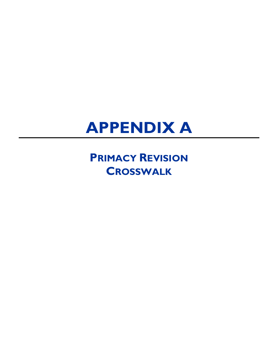## **APPENDIX A**

**PRIMACY REVISION CROSSWALK**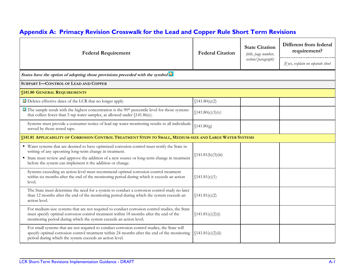## **Appendix A: Primacy Revision Crosswalk for the Lead and Copper Rule Short Term Revisions**

| <b>Federal Requirement</b>                                                                                                                                                                                                                                                                                          | <b>Federal Citation</b> | <b>State Citation</b><br>(title, page number, | Different from federal<br>requirement? |
|---------------------------------------------------------------------------------------------------------------------------------------------------------------------------------------------------------------------------------------------------------------------------------------------------------------------|-------------------------|-----------------------------------------------|----------------------------------------|
|                                                                                                                                                                                                                                                                                                                     |                         | section/paragraph)                            | If yes, explain on separate sheet      |
| States have the option of adopting those provisions preceded with the symbol X                                                                                                                                                                                                                                      |                         |                                               |                                        |
| SUBPART I-CONTROL OF LEAD AND COPPER                                                                                                                                                                                                                                                                                |                         |                                               |                                        |
| <b>§141.80 GENERAL REQUIREMENTS</b>                                                                                                                                                                                                                                                                                 |                         |                                               |                                        |
| Deletes effective dates of the LCR that no longer apply.                                                                                                                                                                                                                                                            | \$141.80(a)(2)          |                                               |                                        |
| $\hat{\mathbf{x}}$ The sample result with the highest concentration is the 90 <sup>th</sup> percentile level for those systems<br>that collect fewer than 5 tap water samples, as allowed under §141.86(c).                                                                                                         | \$141.80(c)(3)(v)       |                                               |                                        |
| Systems must provide a consumer notice of lead tap water monitoring results to all individuals<br>served by those tested taps.                                                                                                                                                                                      | \$141.80(g)             |                                               |                                        |
| §141.81 APPLICABILITY OF CORROSION CONTROL TREATMENT STEPS TO SMALL, MEDIUM-SIZE AND LARGE WATER SYSTEMS                                                                                                                                                                                                            |                         |                                               |                                        |
| ■ Water systems that are deemed to have optimized corrosion control must notify the State in<br>writing of any upcoming long-term change in treatment.<br>State must review and approve the addition of a new source or long-term change in treatment<br>before the system can implement it the addition or change. | \$141.81(b)(3)(iii)     |                                               |                                        |
| Systems exceeding an action level must recommend optimal corrosion control treatment<br>within six months after the end of the monitoring period during which it exceeds an action<br>level.                                                                                                                        | \$141.81(e)(1)          |                                               |                                        |
| The State must determine the need for a system to conduct a corrosion control study no later<br>than 12 months after the end of the monitoring period during which the system exceeds an<br>action level.                                                                                                           | \$141.81(e)(2)          |                                               |                                        |
| For medium-size systems that are not required to conduct corrosion control studies, the State<br>must specify optimal corrosion control treatment within 18 months after the end of the<br>monitoring period during which the system exceeds an action level.                                                       | \$141.81(e)(2)(i)       |                                               |                                        |
| For small systems that are not required to conduct corrosion control studies, the State will<br>specify optimal corrosion control treatment within 24 months after the end of the monitoring<br>period during which the system exceeds an action level.                                                             | \$141.81(e)(2)(ii)      |                                               |                                        |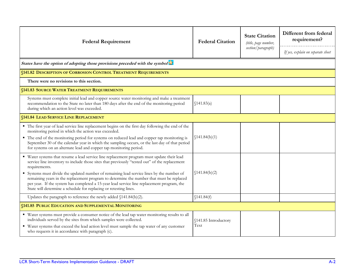| <b>Federal Requirement</b>                                                                                                                                                                                                                                                                                                                                                                                                                                                                                                                                             | <b>Federal Citation</b>      | <b>State Citation</b><br>(title, page number,<br>section/paragraph) | Different from federal<br>requirement?<br>If yes, explain on separate sheet |  |
|------------------------------------------------------------------------------------------------------------------------------------------------------------------------------------------------------------------------------------------------------------------------------------------------------------------------------------------------------------------------------------------------------------------------------------------------------------------------------------------------------------------------------------------------------------------------|------------------------------|---------------------------------------------------------------------|-----------------------------------------------------------------------------|--|
| States have the option of adopting those provisions preceded with the symbol                                                                                                                                                                                                                                                                                                                                                                                                                                                                                           |                              |                                                                     |                                                                             |  |
| <b>§141.82 DESCRIPTION OF CORROSION CONTROL TREATMENT REQUIREMENTS</b>                                                                                                                                                                                                                                                                                                                                                                                                                                                                                                 |                              |                                                                     |                                                                             |  |
| There were no revisions to this section.                                                                                                                                                                                                                                                                                                                                                                                                                                                                                                                               |                              |                                                                     |                                                                             |  |
| <b>§141.83 SOURCE WATER TREATMENT REQUIREMENTS</b>                                                                                                                                                                                                                                                                                                                                                                                                                                                                                                                     |                              |                                                                     |                                                                             |  |
| Systems must complete initial lead and copper source water monitoring and make a treatment<br>recommendation to the State no later than 180 days after the end of the monitoring period<br>during which an action level was exceeded.                                                                                                                                                                                                                                                                                                                                  | \$141.83(a)                  |                                                                     |                                                                             |  |
| <b>§141.84 LEAD SERVICE LINE REPLACEMENT</b>                                                                                                                                                                                                                                                                                                                                                                                                                                                                                                                           |                              |                                                                     |                                                                             |  |
| • The first year of lead service line replacement begins on the first day following the end of the<br>monitoring period in which the action was exceeded.<br>• The end of the monitoring period for systems on reduced lead and copper tap monitoring is<br>September 30 of the calendar year in which the sampling occurs, or the last day of that period<br>for systems on an alternate lead and copper tap monitoring period.                                                                                                                                       | \$141.84(b)(1)               |                                                                     |                                                                             |  |
| • Water systems that resume a lead service line replacement program must update their lead<br>service line inventory to include those sites that previously "tested out" of the replacement<br>requirements.<br>Systems must divide the updated number of remaining lead service lines by the number of<br>remaining years in the replacement program to determine the number that must be replaced<br>per year. If the system has completed a 15-year lead service line replacement program, the<br>State will determine a schedule for replacing or retesting lines. | \$141.84(b)(2)               |                                                                     |                                                                             |  |
| Updates the paragraph to reference the newly added §141.84(b)(2).                                                                                                                                                                                                                                                                                                                                                                                                                                                                                                      | \$141.84(f)                  |                                                                     |                                                                             |  |
| <b>§141.85 PUBLIC EDUCATION AND SUPPLEMENTAL MONITORING</b>                                                                                                                                                                                                                                                                                                                                                                                                                                                                                                            |                              |                                                                     |                                                                             |  |
| ■ Water systems must provide a consumer notice of the lead tap water monitoring results to all<br>individuals served by the sites from which samples were collected.<br>■ Water systems that exceed the lead action level must sample the tap water of any customer<br>who requests it in accordance with paragraph (c).                                                                                                                                                                                                                                               | §141.85 Introductory<br>Text |                                                                     |                                                                             |  |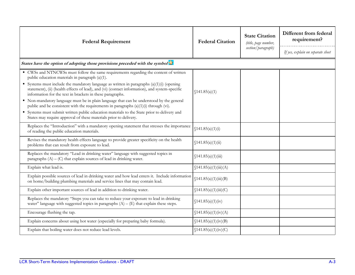| <b>Federal Requirement</b>                                                                                                                                                                                                                                                                                                              | <b>Federal Citation</b> | <b>State Citation</b><br>(title, page number,<br>section/paragraph) | Different from federal<br>requirement?<br>If yes, explain on separate sheet |
|-----------------------------------------------------------------------------------------------------------------------------------------------------------------------------------------------------------------------------------------------------------------------------------------------------------------------------------------|-------------------------|---------------------------------------------------------------------|-----------------------------------------------------------------------------|
| States have the option of adopting those provisions preceded with the symbol X                                                                                                                                                                                                                                                          |                         |                                                                     |                                                                             |
| • CWSs and NTNCWSs must follow the same requirements regarding the content of written<br>public education materials in paragraph (a)(1).<br>Systems must include the mandatory language as written in paragraphs $(a)(1)(i)$ (opening<br>statement), (ii) (health effects of lead), and (vi) (contact information), and system-specific | \$141.85(a)(1)          |                                                                     |                                                                             |
| information for the text in brackets in these paragraphs.<br>• Non-mandatory language must be in plain language that can be understood by the general<br>public and be consistent with the requirements in paragraphs $(a)(1)(i)$ through (vi).                                                                                         |                         |                                                                     |                                                                             |
| Systems must submit written public education materials to the State prior to delivery and<br>States may require approval of these materials prior to delivery.                                                                                                                                                                          |                         |                                                                     |                                                                             |
| Replaces the "Introduction" with a mandatory opening statement that stresses the importance<br>of reading the public education materials.                                                                                                                                                                                               | \$141.85(a)(1)(i)       |                                                                     |                                                                             |
| Revises the mandatory health effects language to provide greater specificity on the health<br>problems that can result from exposure to lead.                                                                                                                                                                                           | \$141.85(a)(1)(ii)      |                                                                     |                                                                             |
| Replaces the mandatory "Lead in drinking water" language with suggested topics in<br>paragraphs $(A) - (C)$ that explain sources of lead in drinking water.                                                                                                                                                                             | \$141.85(a)(1)(iii)     |                                                                     |                                                                             |
| Explain what lead is.                                                                                                                                                                                                                                                                                                                   | \$141.85(a)(1)(iii)(A)  |                                                                     |                                                                             |
| Explain possible sources of lead in drinking water and how lead enters it. Include information<br>on home/building plumbing materials and service lines that may contain lead.                                                                                                                                                          | \$141.85(a)(1)(iii)(B)  |                                                                     |                                                                             |
| Explain other important sources of lead in addition to drinking water.                                                                                                                                                                                                                                                                  | \$141.85(a)(1)(iii)(C)  |                                                                     |                                                                             |
| Replaces the mandatory "Steps you can take to reduce your exposure to lead in drinking<br>water" language with suggested topics in paragraphs $(A) - (E)$ that explain these steps.                                                                                                                                                     | \$141.85(a)(1)(iv)      |                                                                     |                                                                             |
| Encourage flushing the tap.                                                                                                                                                                                                                                                                                                             | \$141.85(a)(1)(iv)(A)   |                                                                     |                                                                             |
| Explain concerns about using hot water (especially for preparing baby formula).                                                                                                                                                                                                                                                         | \$141.85(a)(1)(iv)(B)   |                                                                     |                                                                             |
| Explain that boiling water does not reduce lead levels.                                                                                                                                                                                                                                                                                 | \$141.85(a)(1)(iv)(C)   |                                                                     |                                                                             |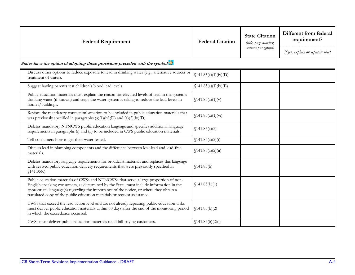| <b>Federal Requirement</b>                                                                                                                                                                                                                                                                                                                            | <b>Federal Citation</b> | <b>State Citation</b><br>(title, page number, | Different from federal<br>requirement? |
|-------------------------------------------------------------------------------------------------------------------------------------------------------------------------------------------------------------------------------------------------------------------------------------------------------------------------------------------------------|-------------------------|-----------------------------------------------|----------------------------------------|
|                                                                                                                                                                                                                                                                                                                                                       |                         | section/paragraph)                            | If yes, explain on separate sheet      |
| States have the option of adopting those provisions preceded with the symbol                                                                                                                                                                                                                                                                          |                         |                                               |                                        |
| Discuss other options to reduce exposure to lead in drinking water (e.g., alternative sources or<br>treatment of water).                                                                                                                                                                                                                              | \$141.85(a)(1)(iv)(D)   |                                               |                                        |
| Suggest having parents test children's blood lead levels.                                                                                                                                                                                                                                                                                             | \$141.85(a)(1)(iv)(E)   |                                               |                                        |
| Public education materials must explain the reason for elevated levels of lead in the system's<br>drinking water (if known) and steps the water system is taking to reduce the lead levels in<br>homes/buildings.                                                                                                                                     | \$141.85(a)(1)(v)       |                                               |                                        |
| Revises the mandatory contact information to be included in public education materials that<br>was previously specified in paragraphs $(a)(1)(iv)(D)$ and $(a)(2)(iv)(D)$ .                                                                                                                                                                           | \$141.85(a)(1)(vi)      |                                               |                                        |
| Deletes mandatory NTNCWS public education language and specifies additional language<br>requirements in paragraphs (i) and (ii) to be included in CWS public education materials.                                                                                                                                                                     | \$141.85(a)(2)          |                                               |                                        |
| Tell consumers how to get their water tested.                                                                                                                                                                                                                                                                                                         | \$141.85(a)(2)(i)       |                                               |                                        |
| Discuss lead in plumbing components and the difference between low-lead and lead-free<br>materials.                                                                                                                                                                                                                                                   | \$141.85(a)(2)(ii)      |                                               |                                        |
| Deletes mandatory language requirements for broadcast materials and replaces this language<br>with revised public education delivery requirements that were previously specified in<br>\$141.85(c).                                                                                                                                                   | \$141.85(b)             |                                               |                                        |
| Public education materials of CWSs and NTNCWSs that serve a large proportion of non-<br>English speaking consumers, as determined by the State, must include information in the<br>appropriate language(s) regarding the importance of the notice, or where they obtain a<br>translated copy of the public education materials or request assistance. | \$141.85(b)(1)          |                                               |                                        |
| CWSs that exceed the lead action level and are not already repeating public education tasks<br>must deliver public education materials within 60 days after the end of the monitoring period<br>in which the exceedance occurred.                                                                                                                     | \$141.85(b)(2)          |                                               |                                        |
| CWSs must deliver public education materials to all bill-paying customers.                                                                                                                                                                                                                                                                            | \$141.85(b)(2)(i)       |                                               |                                        |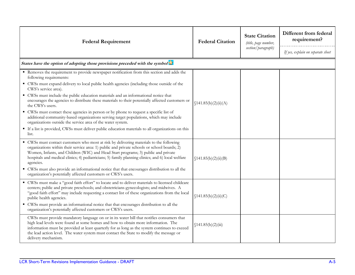| <b>Federal Requirement</b>                                                                                                                                                                                                                                                                                                                                                                        | <b>Federal Citation</b> | <b>State Citation</b><br>(title, page number,<br>section/paragraph) | Different from federal<br>requirement? |
|---------------------------------------------------------------------------------------------------------------------------------------------------------------------------------------------------------------------------------------------------------------------------------------------------------------------------------------------------------------------------------------------------|-------------------------|---------------------------------------------------------------------|----------------------------------------|
|                                                                                                                                                                                                                                                                                                                                                                                                   |                         |                                                                     | If yes, explain on separate sheet      |
| States have the option of adopting those provisions preceded with the symbol as                                                                                                                                                                                                                                                                                                                   |                         |                                                                     |                                        |
| Removes the requirement to provide newspaper notification from this section and adds the<br>following requirements:                                                                                                                                                                                                                                                                               |                         |                                                                     |                                        |
| • CWSs must expand delivery to local public health agencies (including those outside of the<br>CWS's service area).                                                                                                                                                                                                                                                                               |                         |                                                                     |                                        |
| • CWSs must include the public education materials and an informational notice that<br>encourages the agencies to distribute these materials to their potentially affected customers or<br>the CWS's users.                                                                                                                                                                                       | \$141.85(b)(2)(ii)(A)   |                                                                     |                                        |
| • CWSs must contact these agencies in person or by phone to request a specific list of<br>additional community-based organizations serving target populations, which may include<br>organizations outside the service area of the water system.                                                                                                                                                   |                         |                                                                     |                                        |
| If a list is provided, CWSs must deliver public education materials to all organizations on this<br>list.                                                                                                                                                                                                                                                                                         |                         |                                                                     |                                        |
| • CWSs must contact customers who most at risk by delivering materials to the following<br>organizations within their service area: 1) public and private schools or school boards; 2)<br>Women, Infants, and Children (WIC) and Head Start programs; 3) public and private<br>hospitals and medical clinics; 4) pediatricians; 5) family planning clinics; and 6) local welfare<br>agencies.     | \$141.85(b)(2)(ii)(B)   |                                                                     |                                        |
| • CWSs must also provide an informational notice that that encourages distribution to all the<br>organization's potentially affected customers or CWS's users.                                                                                                                                                                                                                                    |                         |                                                                     |                                        |
| " CWSs must make a "good faith effort" to locate and to deliver materials to licensed childcare<br>centers; public and private preschools; and obstetricians-gynecologists; and midwives. A<br>"good faith effort" may include requesting a contact list of these organizations from the local<br>public health agencies.                                                                         | \$141.85(b)(2)(ii)(C)   |                                                                     |                                        |
| • CWSs must provide an informational notice that that encourages distribution to all the<br>organization's potentially affected customers or CWS's users.                                                                                                                                                                                                                                         |                         |                                                                     |                                        |
| CWSs must provide mandatory language on or in its water bill that notifies consumers that<br>high lead levels were found at some homes and how to obtain more information. The<br>information must be provided at least quarterly for as long as the system continues to exceed<br>the lead action level. The water system must contact the State to modify the message or<br>delivery mechanism. | \$141.85(b)(2)(iii)     |                                                                     |                                        |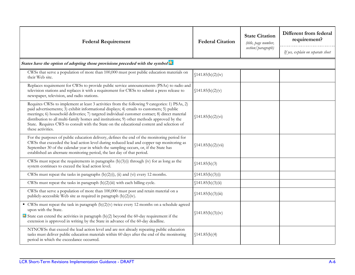| <b>Federal Requirement</b>                                                                                                                                                                                                                                                                                                                                                                                                                                                                                  | <b>Federal Citation</b> | <b>State Citation</b><br>(title, page number,<br>section/paragraph) | Different from federal<br>requirement?<br>If yes, explain on separate sheet |
|-------------------------------------------------------------------------------------------------------------------------------------------------------------------------------------------------------------------------------------------------------------------------------------------------------------------------------------------------------------------------------------------------------------------------------------------------------------------------------------------------------------|-------------------------|---------------------------------------------------------------------|-----------------------------------------------------------------------------|
| States have the option of adopting those provisions preceded with the symbol                                                                                                                                                                                                                                                                                                                                                                                                                                |                         |                                                                     |                                                                             |
| CWSs that serve a population of more than 100,000 must post public education materials on<br>their Web site.                                                                                                                                                                                                                                                                                                                                                                                                | \$141.85(b)(2)(iv)      |                                                                     |                                                                             |
| Replaces requirement for CWSs to provide public service announcements (PSAs) to radio and<br>television stations and replaces it with a requirement for CWSs to submit a press release to<br>newspaper, television, and radio stations.                                                                                                                                                                                                                                                                     | \$141.85(b)(2)(v)       |                                                                     |                                                                             |
| Requires CWSs to implement at least 3 activities from the following 9 categories: 1) PSAs, 2)<br>paid advertisements; 3) exhibit informational displays; 4) emails to customers; 5) public<br>meetings; 6) household deliveries; 7) targeted individual customer contact; 8) direct material<br>distribution to all multi-family homes and institutions; 9) other methods approved by the<br>State. Requires CWS to consult with the State on the educational content and selection of<br>these activities. | \$141.85(b)(2)(vi)      |                                                                     |                                                                             |
| For the purposes of public education delivery, defines the end of the monitoring period for<br>CWSs that exceeded the lead action level during reduced lead and copper tap monitoring as<br>September 30 of the calendar year in which the sampling occurs, or, if the State has<br>established an alternate monitoring period, the last day of that period.                                                                                                                                                | \$141.85(b)(2)(vii)     |                                                                     |                                                                             |
| CWSs must repeat the requirements in paragraphs $(b)(3)(i)$ through (iv) for as long as the<br>system continues to exceed the lead action level.                                                                                                                                                                                                                                                                                                                                                            | \$141.85(b)(3)          |                                                                     |                                                                             |
| CWSs must repeat the tasks in paragraphs $(b)(2)(i)$ , $(ii)$ and $(vi)$ every 12 months.                                                                                                                                                                                                                                                                                                                                                                                                                   | \$141.85(b)(3)(i)       |                                                                     |                                                                             |
| CWSs must repeat the tasks in paragraph (b)(2)(iii) with each billing cycle.                                                                                                                                                                                                                                                                                                                                                                                                                                | \$141.85(b)(3)(ii)      |                                                                     |                                                                             |
| CWSs that serve a population of more than 100,000 must post and retain material on a<br>publicly-accessible Web site as required in paragraph (b)(2)(iv).                                                                                                                                                                                                                                                                                                                                                   | \$141.85(b)(3)(iii)     |                                                                     |                                                                             |
| $\bullet$ CWSs must repeat the task in paragraph (b)(2)(v) twice every 12 months on a schedule agreed<br>upon with the State.<br>$\Delta$ State can extend the activities in paragraph (b)(2) beyond the 60-day requirement if the<br>extension is approved in writing by the State in advance of the 60-day deadline.                                                                                                                                                                                      | \$141.85(b)(3)(iv)      |                                                                     |                                                                             |
| NTNCWSs that exceed the lead action level and are not already repeating public education<br>tasks must deliver public education materials within 60 days after the end of the monitoring<br>period in which the exceedance occurred.                                                                                                                                                                                                                                                                        | \$141.85(b)(4)          |                                                                     |                                                                             |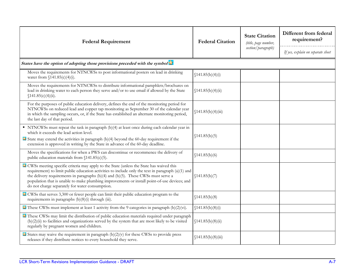| <b>Federal Requirement</b>                                                                                                                                                                                                                                                                                                                                                                                                               | <b>Federal Citation</b> | <b>State Citation</b><br>(title, page number, | Different from federal<br>requirement? |
|------------------------------------------------------------------------------------------------------------------------------------------------------------------------------------------------------------------------------------------------------------------------------------------------------------------------------------------------------------------------------------------------------------------------------------------|-------------------------|-----------------------------------------------|----------------------------------------|
|                                                                                                                                                                                                                                                                                                                                                                                                                                          |                         | section/paragraph)                            | If yes, explain on separate sheet      |
| States have the option of adopting those provisions preceded with the symbol                                                                                                                                                                                                                                                                                                                                                             |                         |                                               |                                        |
| Moves the requirements for NTNCWSs to post informational posters on lead in drinking<br>water from $$141.85(c)(4)(i).$                                                                                                                                                                                                                                                                                                                   | \$141.85(b)(4)(i)       |                                               |                                        |
| Moves the requirements for NTNCWSs to distribute informational pamphlets/brochures on<br>lead in drinking water to each person they serve and/or to use email if allowed by the State<br>\$141.85(c)(4)(ii).                                                                                                                                                                                                                             | \$141.85(b)(4)(ii)      |                                               |                                        |
| For the purposes of public education delivery, defines the end of the monitoring period for<br>NTNCWSs on reduced lead and copper tap monitoring as September 30 of the calendar year<br>in which the sampling occurs, or, if the State has established an alternate monitoring period,<br>the last day of that period.                                                                                                                  | \$141.85(b)(4)(iii)     |                                               |                                        |
| • NTNCWSs must repeat the task in paragraph (b)(4) at least once during each calendar year in<br>which it exceeds the lead action level.<br>$\mathbf{\hat{x}}$ State may extend the activities in paragraph (b)(4) beyond the 60-day requirement if the<br>extension is approved in writing by the State in advance of the 60-day deadline.                                                                                              | \$141.85(b)(5)          |                                               |                                        |
| Moves the specifications for when a PWS can discontinue or recommence the delivery of<br>public education materials from $(141.85(c)(5))$ .                                                                                                                                                                                                                                                                                              | \$141.85(b)(6)          |                                               |                                        |
| X CWSs meeting specific criteria may apply to the State (unless the State has waived this<br>requirement) to limit public education activities to include only the text in paragraph (a)(1) and<br>the delivery requirements in paragraphs (b)(4) and (b)(5). These CWSs must serve a<br>population that is unable to make plumbing improvements or install point-of-use devices; and<br>do not charge separately for water consumption. | \$141.85(b)(7)          |                                               |                                        |
| X CWSs that serves 3,300 or fewer people can limit their public education program to the<br>requirements in paragraphs $(b)(8)(i)$ through $(iii)$ .                                                                                                                                                                                                                                                                                     | \$141.85(b)(8)          |                                               |                                        |
| $\triangle$ These CWSs must implement at least 1 activity from the 9 categories in paragraph (b)(2)(vi).                                                                                                                                                                                                                                                                                                                                 | \$141.85(b)(8(i)        |                                               |                                        |
| These CWSs may limit the distribution of public education materials required under paragraph<br>$(b)(2)(ii)$ to facilities and organizations served by the system that are most likely to be visited<br>regularly by pregnant women and children.                                                                                                                                                                                        | \$141.85(b)(8(ii)       |                                               |                                        |
| $\mathbf{\hat{x}}$ States may waive the requirement in paragraph (b)(2)(v) for these CWSs to provide press<br>releases if they distribute notices to every household they serve.                                                                                                                                                                                                                                                         | \$141.85(b)(8)(iii)     |                                               |                                        |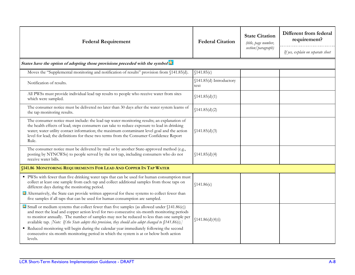| <b>Federal Requirement</b>                                                                                                                                                                                                                                                                                                                                                                                                                                                                                                                                                                                                    | <b>Federal Citation</b>         | <b>State Citation</b><br>(title, page number,<br>section/paragraph) | Different from federal<br>requirement? |
|-------------------------------------------------------------------------------------------------------------------------------------------------------------------------------------------------------------------------------------------------------------------------------------------------------------------------------------------------------------------------------------------------------------------------------------------------------------------------------------------------------------------------------------------------------------------------------------------------------------------------------|---------------------------------|---------------------------------------------------------------------|----------------------------------------|
|                                                                                                                                                                                                                                                                                                                                                                                                                                                                                                                                                                                                                               |                                 |                                                                     | If yes, explain on separate sheet      |
| States have the option of adopting those provisions preceded with the symbol                                                                                                                                                                                                                                                                                                                                                                                                                                                                                                                                                  |                                 |                                                                     |                                        |
| Moves the "Supplemental monitoring and notification of results" provision from §141.85(d).                                                                                                                                                                                                                                                                                                                                                                                                                                                                                                                                    | \$141.85(c)                     |                                                                     |                                        |
| Notification of results.                                                                                                                                                                                                                                                                                                                                                                                                                                                                                                                                                                                                      | §141.85(d) Introductory<br>text |                                                                     |                                        |
| All PWSs must provide individual lead tap results to people who receive water from sites<br>which were sampled.                                                                                                                                                                                                                                                                                                                                                                                                                                                                                                               | \$141.85(d)(1)                  |                                                                     |                                        |
| The consumer notice must be delivered no later than 30 days after the water system learns of<br>the tap monitoring results.                                                                                                                                                                                                                                                                                                                                                                                                                                                                                                   | \$141.85(d)(2)                  |                                                                     |                                        |
| The consumer notice must include: the lead tap water monitoring results; an explanation of<br>the health effects of lead; steps consumers can take to reduce exposure to lead in drinking<br>water; water utility contact information; the maximum contaminant level goal and the action<br>level for lead; the definitions for these two terms from the Consumer Confidence Report<br>Rule.                                                                                                                                                                                                                                  | \$141.85(d)(3)                  |                                                                     |                                        |
| The consumer notice must be delivered by mail or by another State-approved method (e.g.,<br>posting by NTNCWSs) to people served by the test tap, including consumers who do not<br>receive water bills.                                                                                                                                                                                                                                                                                                                                                                                                                      | \$141.85(d)(4)                  |                                                                     |                                        |
| <b>§141.86 MONITORING REQUIREMENTS FOR LEAD AND COPPER IN TAP WATER</b>                                                                                                                                                                                                                                                                                                                                                                                                                                                                                                                                                       |                                 |                                                                     |                                        |
| • PWSs with fewer than five drinking water taps that can be used for human consumption must<br>collect at least one sample from each tap and collect additional samples from those taps on<br>different days during the monitoring period.<br>Alternatively, the State can provide written approval for these systems to collect fewer than<br>five samples if all taps that can be used for human consumption are sampled.                                                                                                                                                                                                   | \$141.86(c)                     |                                                                     |                                        |
| $\approx$ Small or medium systems that collect fewer than five samples (as allowed under $(141.86(c))$ )<br>and meet the lead and copper action level for two consecutive six-month monitoring periods<br>to monitor annually. The number of samples may not be reduced to less than one sample per<br>available tap. <i>[Note: If the State adopts this provision, they should also adopt changed to</i> $\int 141.86(c)$ .]<br>Reduced monitoring will begin during the calendar year immediately following the second<br>consecutive six-month monitoring period in which the system is at or below both action<br>levels. | \$141.86(d)(4)(i)               |                                                                     |                                        |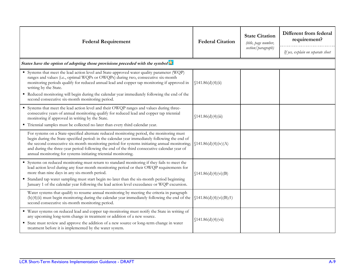| <b>Federal Requirement</b>                                                                                                                                                                                                                                                                                                                                                                                                                                    | <b>Federal Citation</b>  | <b>State Citation</b><br>(title, page number,<br>section/paragraph) | Different from federal<br>requirement? |
|---------------------------------------------------------------------------------------------------------------------------------------------------------------------------------------------------------------------------------------------------------------------------------------------------------------------------------------------------------------------------------------------------------------------------------------------------------------|--------------------------|---------------------------------------------------------------------|----------------------------------------|
|                                                                                                                                                                                                                                                                                                                                                                                                                                                               |                          | If yes, explain on separate sheet                                   |                                        |
| States have the option of adopting those provisions preceded with the symbol                                                                                                                                                                                                                                                                                                                                                                                  |                          |                                                                     |                                        |
| Systems that meet the lead action level and State-approved water quality parameter (WQP)<br>ranges and values (i.e., optimal WQPs or OWQPs) during two, consecutive six-month<br>monitoring periods qualify for reduced annual lead and copper tap monitoring if approved in<br>writing by the State.                                                                                                                                                         | \$141.86(d)(4)(ii)       |                                                                     |                                        |
| • Reduced monitoring will begin during the calendar year immediately following the end of the<br>second consecutive six-month monitoring period.                                                                                                                                                                                                                                                                                                              |                          |                                                                     |                                        |
| Systems that meet the lead action level and their OWQP ranges and values during three-<br>consecutive years of annual monitoring qualify for reduced lead and copper tap triennial<br>monitoring if approved in writing by the State.                                                                                                                                                                                                                         | \$141.86(d)(4)(iii)      |                                                                     |                                        |
| " Triennial samples must be collected no later than every third calendar year.                                                                                                                                                                                                                                                                                                                                                                                |                          |                                                                     |                                        |
| For systems on a State-specified alternate reduced monitoring period, the monitoring must<br>begin during the State-specified period: in the calendar year immediately following the end of<br>the second consecutive six-month monitoring period for systems initiating annual monitoring;<br>and during the three-year period following the end of the third consecutive calendar year of<br>annual monitoring for systems initiating triennial monitoring. | \$141.86(d)(4)(iv)(A)    |                                                                     |                                        |
| Systems on reduced monitoring must return to standard monitoring if they fails to meet the<br>lead action level during any four-month monitoring period or their OWQP requirements for<br>more than nine days in any six-month period.<br>• Standard tap water sampling must start begin no later than the six-month period beginning<br>January 1 of the calendar year following the lead action level exceedance or WQP excursion.                          | \$141.86(d)(4)(vi)(B)    |                                                                     |                                        |
| Water systems that qualify to resume annual monitoring by meeting the criteria in paragraph<br>(b)(4)(ii) must begin monitoring during the calendar year immediately following the end of the<br>second consecutive six-month monitoring period.                                                                                                                                                                                                              | \$141.86(d)(4)(vi)(B)(7) |                                                                     |                                        |
| " Water systems on reduced lead and copper tap monitoring must notify the State in writing of<br>any upcoming long-term change in treatment or addition of a new source.<br>State must review and approve the addition of a new source or long-term change in water<br>treatment before it is implemented by the water system.                                                                                                                                | \$141.86(d)(4)(vii)      |                                                                     |                                        |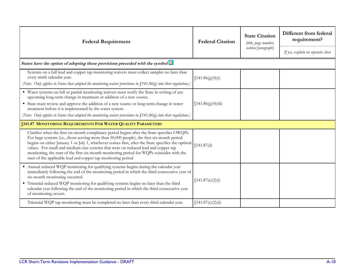| <b>Federal Requirement</b>                                                                                                                                                                                                                                                                                                                                                                                                                                                                                                                              | <b>Federal Citation</b> | <b>State Citation</b><br>(title, page number, | Different from federal<br>requirement? |
|---------------------------------------------------------------------------------------------------------------------------------------------------------------------------------------------------------------------------------------------------------------------------------------------------------------------------------------------------------------------------------------------------------------------------------------------------------------------------------------------------------------------------------------------------------|-------------------------|-----------------------------------------------|----------------------------------------|
|                                                                                                                                                                                                                                                                                                                                                                                                                                                                                                                                                         |                         | section/paragraph)                            | If yes, explain on separate sheet      |
| States have the option of adopting those provisions preceded with the symbol X                                                                                                                                                                                                                                                                                                                                                                                                                                                                          |                         |                                               |                                        |
| Systems on a full lead and copper tap monitoring waivers must collect samples no later than<br>every ninth calendar year.<br>(Note: Only applies to States that adopted the monitoring waiver provisions in $\int$ 141.86(g) into their regulations.                                                                                                                                                                                                                                                                                                    | \$141.86(g)(4)(i)       |                                               |                                        |
| ■ Water systems on full or partial monitoring waivers must notify the State in writing of any<br>upcoming long-term change in treatment or addition of a new source.<br>State must review and approve the addition of a new source or long-term change in water<br>treatment before it is implemented by the water system.<br>[Note: Only applies to States that adopted the monitoring waiver provisions in $$141.86$ (g) into their regulations.]                                                                                                     | \$141.86(g)(4(iii)      |                                               |                                        |
| <b>§141.87 MONITORING REQUIREMENTS FOR WATER QUALITY PARAMETERS</b>                                                                                                                                                                                                                                                                                                                                                                                                                                                                                     |                         |                                               |                                        |
| Clarifies when the first six-month compliance period begins after the State specifies OWQPs.<br>For large systems (i.e., those serving more than 50,000 people), the first six-month period<br>begins on either January 1 or July 1, whichever comes first, after the State specifies the optimal<br>values. For small and medium-size systems that were on reduced lead and copper tap<br>monitoring, the start of the first six-month monitoring period for WQPs coincides with the<br>start of the applicable lead and copper tap monitoring period. | \$141.87(d)             |                                               |                                        |
| Annual reduced WQP monitoring for qualifying systems begins during the calendar year<br>immediately following the end of the monitoring period in which the third consecutive year of<br>six-month monitoring occurred.<br>" Triennial reduced WQP monitoring for qualifying systems begins no later than the third<br>calendar year following the end of the monitoring period in which the third consecutive year<br>of monitoring occurs.                                                                                                            | \$141.87(e)(2)(i)       |                                               |                                        |
| Triennial WQP tap monitoring must be completed no later than every third calendar year.                                                                                                                                                                                                                                                                                                                                                                                                                                                                 | \$141.87(e)(2)(ii)      |                                               |                                        |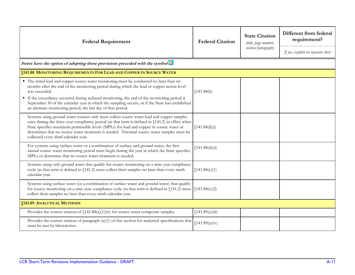| <b>Federal Requirement</b>                                                                                                                                                                                                                                                                                                                                                                                                                                               | <b>Federal Citation</b> | <b>State Citation</b><br>(title, page number,<br>section/paragraph) | Different from federal<br>requirement?<br>If yes, explain on separate sheet |  |
|--------------------------------------------------------------------------------------------------------------------------------------------------------------------------------------------------------------------------------------------------------------------------------------------------------------------------------------------------------------------------------------------------------------------------------------------------------------------------|-------------------------|---------------------------------------------------------------------|-----------------------------------------------------------------------------|--|
| States have the option of adopting those provisions preceded with the symbol                                                                                                                                                                                                                                                                                                                                                                                             |                         |                                                                     |                                                                             |  |
| <b>§141.88 MONITORING REQUIREMENTS FOR LEAD AND COPPER IN SOURCE WATER</b>                                                                                                                                                                                                                                                                                                                                                                                               |                         |                                                                     |                                                                             |  |
| • The initial lead and copper source water monitoring must be conducted no later than six<br>months after the end of the monitoring period during which the lead or copper action level<br>was exceeded.<br>If the exceedance occurred during reduced monitoring, the end of the monitoring period is<br>September 30 of the calendar year in which the sampling occurs, or if the State has established<br>an alternate monitoring period, the last day of that period. | \$141.88(b)             |                                                                     |                                                                             |  |
| Systems using ground water sources only must collect source water lead and copper samples<br>once during the three-year compliance period (as that term is defined in §141.2) in effect when<br>State specifies maximum permissible levels (MPLs) for lead and copper in source water or<br>determines that no source water treatment is needed. Triennial source water samples must be<br>collected every third calendar year.                                          | \$141.88(d)(i)          |                                                                     |                                                                             |  |
| For systems using surface water or a combination of surface and ground water, the first<br>annual source water monitoring period must begin during the year in which the State specifies<br>MPLs or determine that no source water treatment is needed.                                                                                                                                                                                                                  | \$141.88(d)(ii)         |                                                                     |                                                                             |  |
| Systems using only ground water that qualify for source monitoring on a nine-year compliance<br>cycle (as that term is defined in §141.2) must collect their samples no later than every ninth<br>calendar year.                                                                                                                                                                                                                                                         | \$141.88(e)(1)          |                                                                     |                                                                             |  |
| Systems using surface water (or a combination of surface water and ground water) that qualify<br>for source monitoring on a nine-year compliance cycle (as that term is defined in $(141.2)$ must $(141.88(e)(2))$<br>collect their samples no later than every ninth calendar year.                                                                                                                                                                                     |                         |                                                                     |                                                                             |  |
| <b>§141.89 ANALYTICAL METHODS</b>                                                                                                                                                                                                                                                                                                                                                                                                                                        |                         |                                                                     |                                                                             |  |
| Provides the correct citation of $(141.88(a)(1)(iv)$ for source water composite samples.                                                                                                                                                                                                                                                                                                                                                                                 | (141.89(a)(iii))        |                                                                     |                                                                             |  |
| Provides the correct citation of paragraph $(a)(1)$ of this section for analytical specifications that<br>must be met by laboratories.                                                                                                                                                                                                                                                                                                                                   | \$141.89(a)(iv)         |                                                                     |                                                                             |  |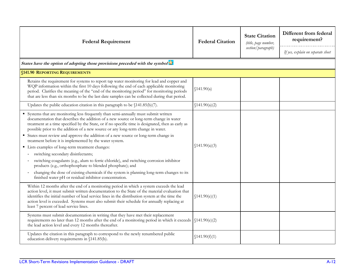| <b>Federal Requirement</b>                                                                                                                                                                                                                                                                                                                                                                                                                                                                                                                                                                                                                                                                                                                                                                                                                                                                                                                | <b>Federal Citation</b> | <b>State Citation</b><br>(title, page number,<br>section/paragraph) | Different from federal<br>requirement?<br>If yes, explain on separate sheet |
|-------------------------------------------------------------------------------------------------------------------------------------------------------------------------------------------------------------------------------------------------------------------------------------------------------------------------------------------------------------------------------------------------------------------------------------------------------------------------------------------------------------------------------------------------------------------------------------------------------------------------------------------------------------------------------------------------------------------------------------------------------------------------------------------------------------------------------------------------------------------------------------------------------------------------------------------|-------------------------|---------------------------------------------------------------------|-----------------------------------------------------------------------------|
| States have the option of adopting those provisions preceded with the symbol                                                                                                                                                                                                                                                                                                                                                                                                                                                                                                                                                                                                                                                                                                                                                                                                                                                              |                         |                                                                     |                                                                             |
| <b>§141.90 REPORTING REQUIREMENTS</b>                                                                                                                                                                                                                                                                                                                                                                                                                                                                                                                                                                                                                                                                                                                                                                                                                                                                                                     |                         |                                                                     |                                                                             |
| Retains the requirement for systems to report tap water monitoring for lead and copper and<br>WQP information within the first 10 days following the end of each applicable monitoring<br>period. Clarifies the meaning of the "end of the monitoring period" for monitoring periods<br>that are less than six months to be the last date samples can be collected during that period.                                                                                                                                                                                                                                                                                                                                                                                                                                                                                                                                                    | \$141.90(a)             |                                                                     |                                                                             |
| Updates the public education citation in this paragraph to be $$141.85(b)(7)$ .                                                                                                                                                                                                                                                                                                                                                                                                                                                                                                                                                                                                                                                                                                                                                                                                                                                           | \$141.90(a)(2)          |                                                                     |                                                                             |
| Systems that are monitoring less frequently than semi-annually must submit written<br>documentation that describes the addition of a new source or long-term change in water<br>treatment at a time specified by the State, or if no specific time is designated, then as early as<br>possible prior to the addition of a new source or any long-term change in water.<br>States must review and approve the addition of a new source or long-term change in<br>treatment before it is implemented by the water system.<br>Lists examples of long-term treatment changes:<br>switching secondary disinfectants;<br>switching coagulants (e.g., alum to ferric chloride), and switching corrosion inhibitor<br>$\sim$<br>products (e.g., orthophosphate to blended phosphate); and<br>changing the dose of existing chemicals if the system is planning long-term changes to its<br>finished water pH or residual inhibitor concentration. | \$141.90(a)(3)          |                                                                     |                                                                             |
| Within 12 months after the end of a monitoring period in which a system exceeds the lead<br>action level, it must submit written documentation to the State of the material evaluation that<br>identifies the initial number of lead service lines in the distribution system at the time the<br>action level is exceeded. Systems must also submit their schedule for annually replacing at<br>least 7 percent of lead service lines.                                                                                                                                                                                                                                                                                                                                                                                                                                                                                                    | \$141.90(e)(1)          |                                                                     |                                                                             |
| Systems must submit documentation in writing that they have met their replacement<br>requirements no later than 12 months after the end of a monitoring period in which it exceeds (\$141.90(e)(2)<br>the lead action level and every 12 months thereafter.                                                                                                                                                                                                                                                                                                                                                                                                                                                                                                                                                                                                                                                                               |                         |                                                                     |                                                                             |
| Updates the citation in this paragraph to correspond to the newly renumbered public<br>education delivery requirements in §141.85(b).                                                                                                                                                                                                                                                                                                                                                                                                                                                                                                                                                                                                                                                                                                                                                                                                     | \$141.90(f)(1)          |                                                                     |                                                                             |